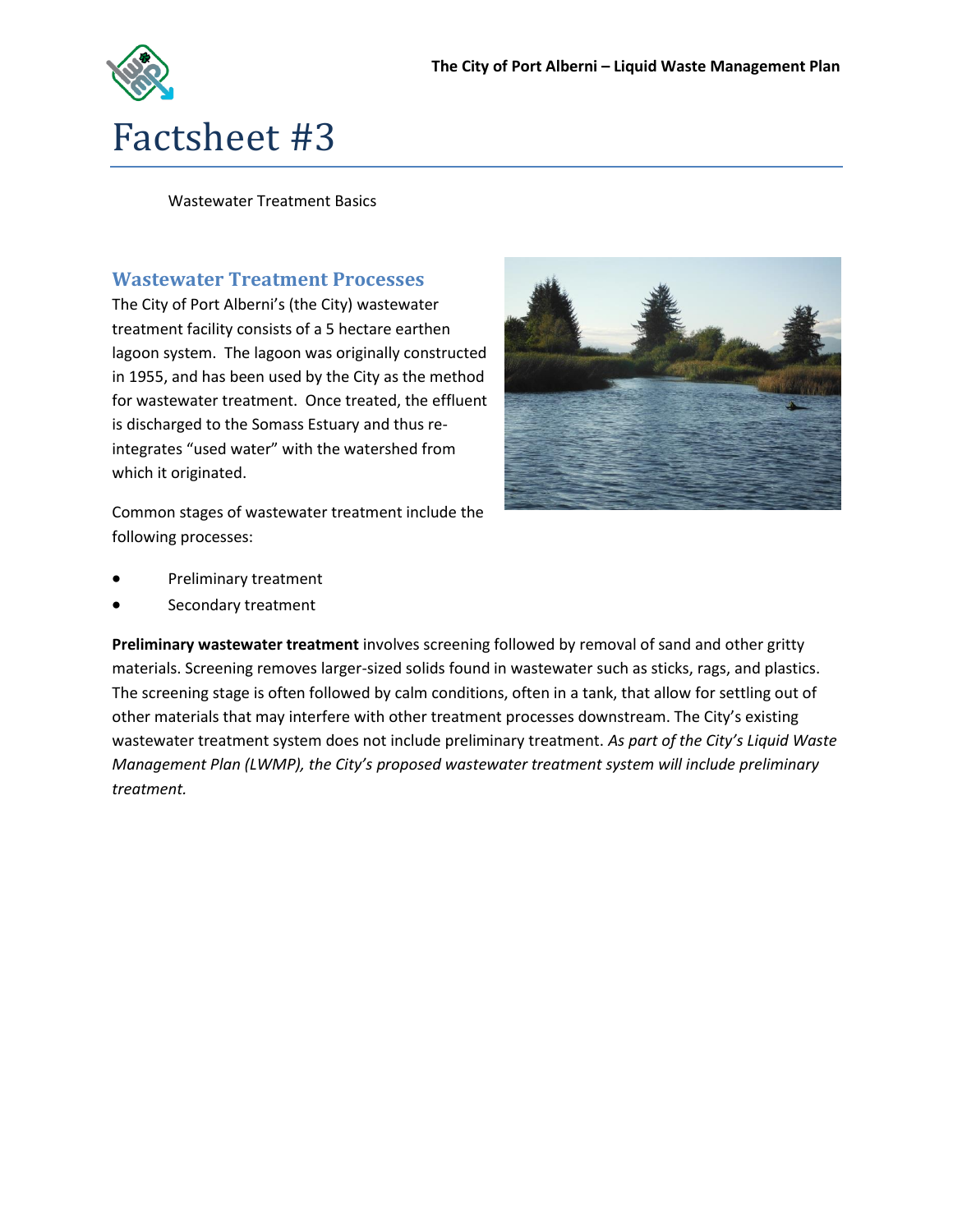

Wastewater Treatment Basics

## **Wastewater Treatment Processes**

The City of Port Alberni's (the City) wastewater treatment facility consists of a 5 hectare earthen lagoon system. The lagoon was originally constructed in 1955, and has been used by the City as the method for wastewater treatment. Once treated, the effluent is discharged to the Somass Estuary and thus reintegrates "used water" with the watershed from which it originated.



Common stages of wastewater treatment include the following processes:

- Preliminary treatment
- Secondary treatment

**Preliminary wastewater treatment** involves screening followed by removal of sand and other gritty materials. Screening removes larger-sized solids found in wastewater such as sticks, rags, and plastics. The screening stage is often followed by calm conditions, often in a tank, that allow for settling out of other materials that may interfere with other treatment processes downstream. The City's existing wastewater treatment system does not include preliminary treatment. *As part of the City's Liquid Waste Management Plan (LWMP), the City's proposed wastewater treatment system will include preliminary treatment.*